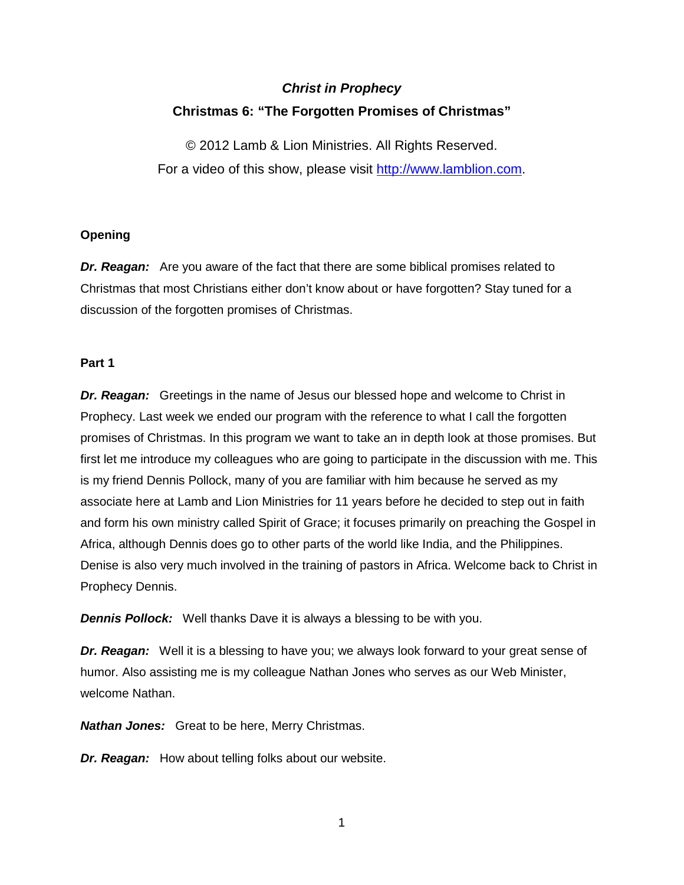# *Christ in Prophecy* **Christmas 6: "The Forgotten Promises of Christmas"**

© 2012 Lamb & Lion Ministries. All Rights Reserved. For a video of this show, please visit [http://www.lamblion.com.](http://www.lamblion.com/)

## **Opening**

*Dr. Reagan:* Are you aware of the fact that there are some biblical promises related to Christmas that most Christians either don't know about or have forgotten? Stay tuned for a discussion of the forgotten promises of Christmas.

### **Part 1**

*Dr. Reagan:* Greetings in the name of Jesus our blessed hope and welcome to Christ in Prophecy. Last week we ended our program with the reference to what I call the forgotten promises of Christmas. In this program we want to take an in depth look at those promises. But first let me introduce my colleagues who are going to participate in the discussion with me. This is my friend Dennis Pollock, many of you are familiar with him because he served as my associate here at Lamb and Lion Ministries for 11 years before he decided to step out in faith and form his own ministry called Spirit of Grace; it focuses primarily on preaching the Gospel in Africa, although Dennis does go to other parts of the world like India, and the Philippines. Denise is also very much involved in the training of pastors in Africa. Welcome back to Christ in Prophecy Dennis.

*Dennis Pollock:* Well thanks Dave it is always a blessing to be with you.

**Dr. Reagan:** Well it is a blessing to have you; we always look forward to your great sense of humor. Also assisting me is my colleague Nathan Jones who serves as our Web Minister, welcome Nathan.

*Nathan Jones:* Great to be here, Merry Christmas.

*Dr. Reagan:* How about telling folks about our website.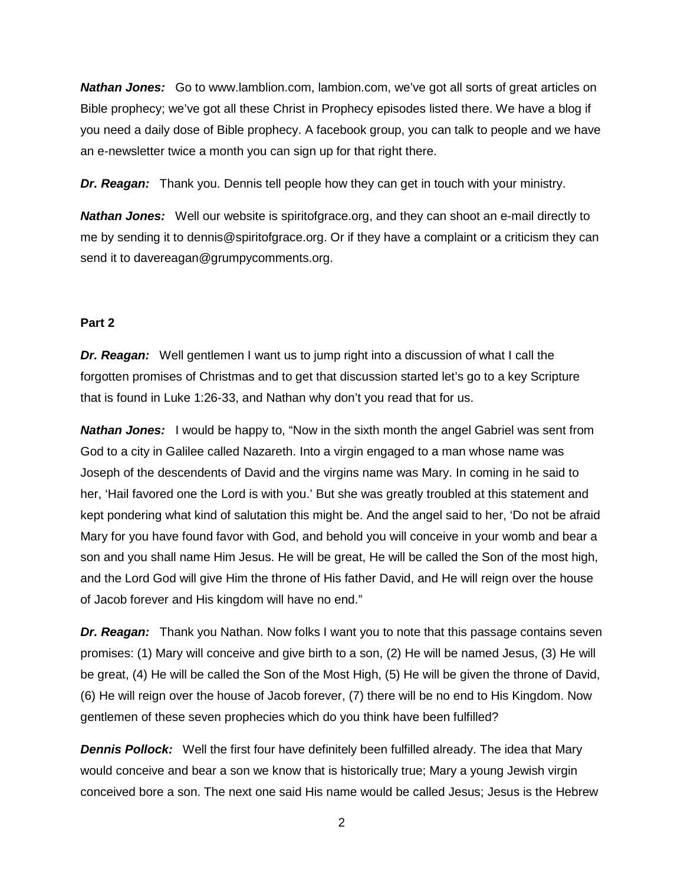**Nathan Jones:** Go to www.lamblion.com, lambion.com, we've got all sorts of great articles on Bible prophecy; we've got all these Christ in Prophecy episodes listed there. We have a blog if you need a daily dose of Bible prophecy. A facebook group, you can talk to people and we have an e-newsletter twice a month you can sign up for that right there.

*Dr. Reagan:* Thank you. Dennis tell people how they can get in touch with your ministry.

*Nathan Jones:* Well our website is spiritofgrace.org, and they can shoot an e-mail directly to me by sending it to dennis@spiritofgrace.org. Or if they have a complaint or a criticism they can send it to davereagan@grumpycomments.org.

#### **Part 2**

*Dr. Reagan:* Well gentlemen I want us to jump right into a discussion of what I call the forgotten promises of Christmas and to get that discussion started let's go to a key Scripture that is found in Luke 1:26-33, and Nathan why don't you read that for us.

**Nathan Jones:** I would be happy to, "Now in the sixth month the angel Gabriel was sent from God to a city in Galilee called Nazareth. Into a virgin engaged to a man whose name was Joseph of the descendents of David and the virgins name was Mary. In coming in he said to her, 'Hail favored one the Lord is with you.' But she was greatly troubled at this statement and kept pondering what kind of salutation this might be. And the angel said to her, 'Do not be afraid Mary for you have found favor with God, and behold you will conceive in your womb and bear a son and you shall name Him Jesus. He will be great, He will be called the Son of the most high, and the Lord God will give Him the throne of His father David, and He will reign over the house of Jacob forever and His kingdom will have no end."

*Dr. Reagan:* Thank you Nathan. Now folks I want you to note that this passage contains seven promises: (1) Mary will conceive and give birth to a son, (2) He will be named Jesus, (3) He will be great, (4) He will be called the Son of the Most High, (5) He will be given the throne of David, (6) He will reign over the house of Jacob forever, (7) there will be no end to His Kingdom. Now gentlemen of these seven prophecies which do you think have been fulfilled?

**Dennis Pollock:** Well the first four have definitely been fulfilled already. The idea that Mary would conceive and bear a son we know that is historically true; Mary a young Jewish virgin conceived bore a son. The next one said His name would be called Jesus; Jesus is the Hebrew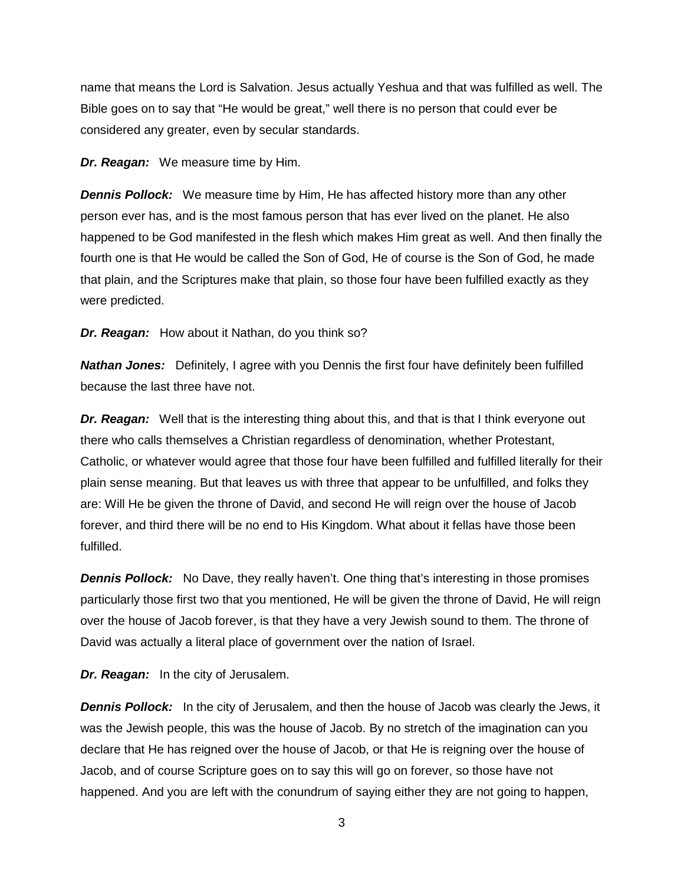name that means the Lord is Salvation. Jesus actually Yeshua and that was fulfilled as well. The Bible goes on to say that "He would be great," well there is no person that could ever be considered any greater, even by secular standards.

*Dr. Reagan:* We measure time by Him.

**Dennis Pollock:** We measure time by Him, He has affected history more than any other person ever has, and is the most famous person that has ever lived on the planet. He also happened to be God manifested in the flesh which makes Him great as well. And then finally the fourth one is that He would be called the Son of God, He of course is the Son of God, he made that plain, and the Scriptures make that plain, so those four have been fulfilled exactly as they were predicted.

*Dr. Reagan:* How about it Nathan, do you think so?

*Nathan Jones:* Definitely, I agree with you Dennis the first four have definitely been fulfilled because the last three have not.

*Dr. Reagan:* Well that is the interesting thing about this, and that is that I think everyone out there who calls themselves a Christian regardless of denomination, whether Protestant, Catholic, or whatever would agree that those four have been fulfilled and fulfilled literally for their plain sense meaning. But that leaves us with three that appear to be unfulfilled, and folks they are: Will He be given the throne of David, and second He will reign over the house of Jacob forever, and third there will be no end to His Kingdom. What about it fellas have those been fulfilled.

*Dennis Pollock:* No Dave, they really haven't. One thing that's interesting in those promises particularly those first two that you mentioned, He will be given the throne of David, He will reign over the house of Jacob forever, is that they have a very Jewish sound to them. The throne of David was actually a literal place of government over the nation of Israel.

*Dr. Reagan:* In the city of Jerusalem.

*Dennis Pollock:* In the city of Jerusalem, and then the house of Jacob was clearly the Jews, it was the Jewish people, this was the house of Jacob. By no stretch of the imagination can you declare that He has reigned over the house of Jacob, or that He is reigning over the house of Jacob, and of course Scripture goes on to say this will go on forever, so those have not happened. And you are left with the conundrum of saying either they are not going to happen,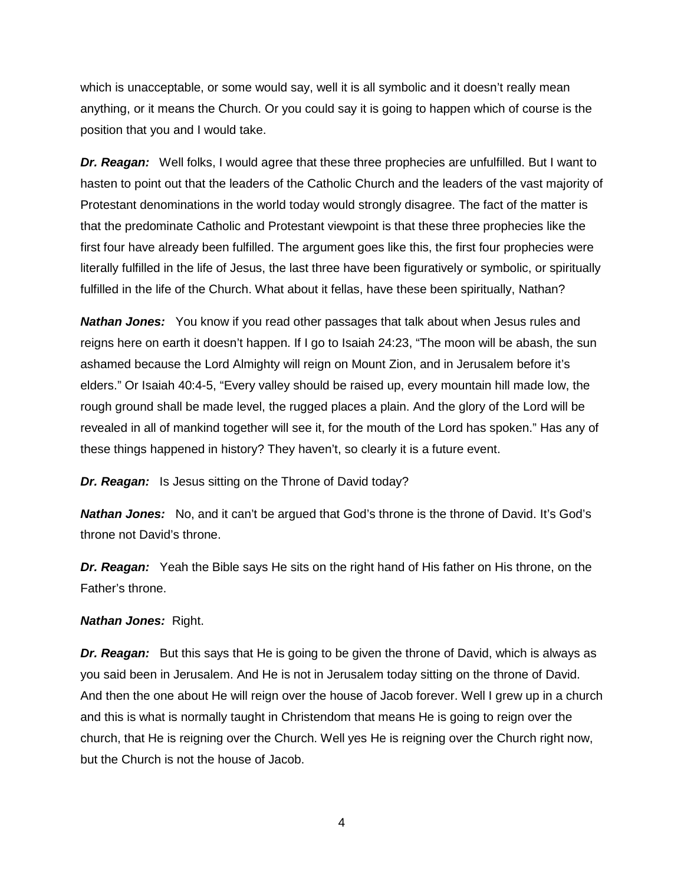which is unacceptable, or some would say, well it is all symbolic and it doesn't really mean anything, or it means the Church. Or you could say it is going to happen which of course is the position that you and I would take.

*Dr. Reagan:* Well folks, I would agree that these three prophecies are unfulfilled. But I want to hasten to point out that the leaders of the Catholic Church and the leaders of the vast majority of Protestant denominations in the world today would strongly disagree. The fact of the matter is that the predominate Catholic and Protestant viewpoint is that these three prophecies like the first four have already been fulfilled. The argument goes like this, the first four prophecies were literally fulfilled in the life of Jesus, the last three have been figuratively or symbolic, or spiritually fulfilled in the life of the Church. What about it fellas, have these been spiritually, Nathan?

*Nathan Jones:* You know if you read other passages that talk about when Jesus rules and reigns here on earth it doesn't happen. If I go to Isaiah 24:23, "The moon will be abash, the sun ashamed because the Lord Almighty will reign on Mount Zion, and in Jerusalem before it's elders." Or Isaiah 40:4-5, "Every valley should be raised up, every mountain hill made low, the rough ground shall be made level, the rugged places a plain. And the glory of the Lord will be revealed in all of mankind together will see it, for the mouth of the Lord has spoken." Has any of these things happened in history? They haven't, so clearly it is a future event.

**Dr. Reagan:** Is Jesus sitting on the Throne of David today?

*Nathan Jones:* No, and it can't be argued that God's throne is the throne of David. It's God's throne not David's throne.

*Dr. Reagan:* Yeah the Bible says He sits on the right hand of His father on His throne, on the Father's throne.

#### *Nathan Jones:* Right.

*Dr. Reagan:* But this says that He is going to be given the throne of David, which is always as you said been in Jerusalem. And He is not in Jerusalem today sitting on the throne of David. And then the one about He will reign over the house of Jacob forever. Well I grew up in a church and this is what is normally taught in Christendom that means He is going to reign over the church, that He is reigning over the Church. Well yes He is reigning over the Church right now, but the Church is not the house of Jacob.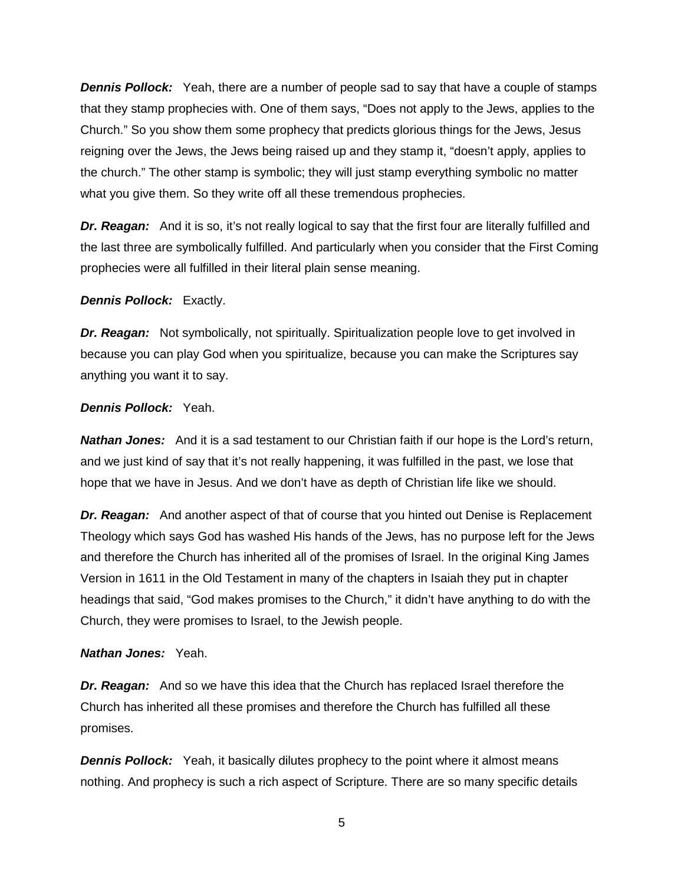*Dennis Pollock:* Yeah, there are a number of people sad to say that have a couple of stamps that they stamp prophecies with. One of them says, "Does not apply to the Jews, applies to the Church." So you show them some prophecy that predicts glorious things for the Jews, Jesus reigning over the Jews, the Jews being raised up and they stamp it, "doesn't apply, applies to the church." The other stamp is symbolic; they will just stamp everything symbolic no matter what you give them. So they write off all these tremendous prophecies.

*Dr. Reagan:* And it is so, it's not really logical to say that the first four are literally fulfilled and the last three are symbolically fulfilled. And particularly when you consider that the First Coming prophecies were all fulfilled in their literal plain sense meaning.

*Dennis Pollock:* Exactly.

*Dr. Reagan:* Not symbolically, not spiritually. Spiritualization people love to get involved in because you can play God when you spiritualize, because you can make the Scriptures say anything you want it to say.

#### *Dennis Pollock:* Yeah.

*Nathan Jones:* And it is a sad testament to our Christian faith if our hope is the Lord's return, and we just kind of say that it's not really happening, it was fulfilled in the past, we lose that hope that we have in Jesus. And we don't have as depth of Christian life like we should.

**Dr. Reagan:** And another aspect of that of course that you hinted out Denise is Replacement Theology which says God has washed His hands of the Jews, has no purpose left for the Jews and therefore the Church has inherited all of the promises of Israel. In the original King James Version in 1611 in the Old Testament in many of the chapters in Isaiah they put in chapter headings that said, "God makes promises to the Church," it didn't have anything to do with the Church, they were promises to Israel, to the Jewish people.

#### *Nathan Jones:* Yeah.

*Dr. Reagan:* And so we have this idea that the Church has replaced Israel therefore the Church has inherited all these promises and therefore the Church has fulfilled all these promises.

**Dennis Pollock:** Yeah, it basically dilutes prophecy to the point where it almost means nothing. And prophecy is such a rich aspect of Scripture. There are so many specific details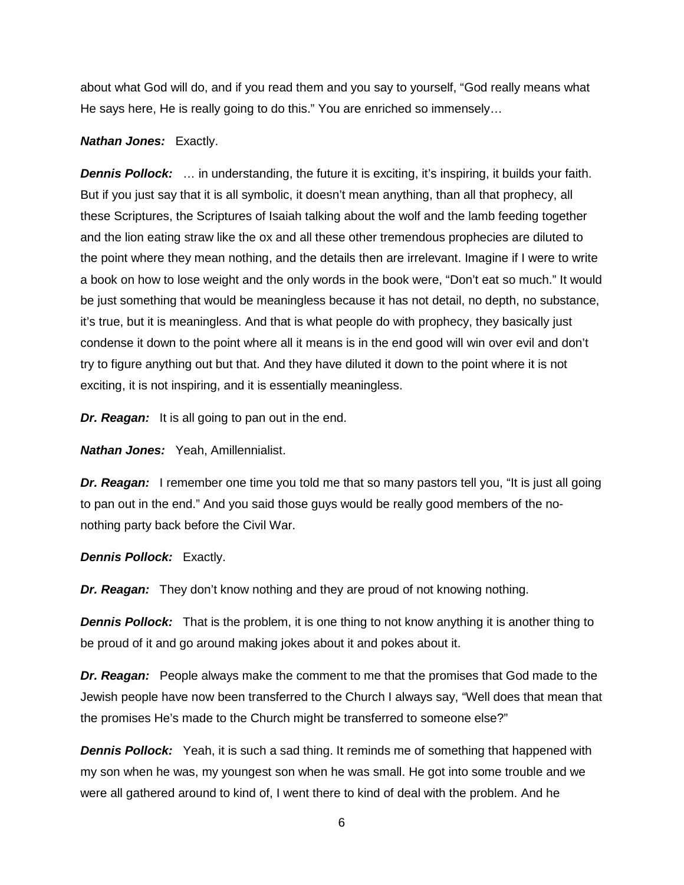about what God will do, and if you read them and you say to yourself, "God really means what He says here, He is really going to do this." You are enriched so immensely…

#### *Nathan Jones:* Exactly.

*Dennis Pollock:* … in understanding, the future it is exciting, it's inspiring, it builds your faith. But if you just say that it is all symbolic, it doesn't mean anything, than all that prophecy, all these Scriptures, the Scriptures of Isaiah talking about the wolf and the lamb feeding together and the lion eating straw like the ox and all these other tremendous prophecies are diluted to the point where they mean nothing, and the details then are irrelevant. Imagine if I were to write a book on how to lose weight and the only words in the book were, "Don't eat so much." It would be just something that would be meaningless because it has not detail, no depth, no substance, it's true, but it is meaningless. And that is what people do with prophecy, they basically just condense it down to the point where all it means is in the end good will win over evil and don't try to figure anything out but that. And they have diluted it down to the point where it is not exciting, it is not inspiring, and it is essentially meaningless.

*Dr. Reagan:* It is all going to pan out in the end.

*Nathan Jones:* Yeah, Amillennialist.

*Dr. Reagan:* I remember one time you told me that so many pastors tell you, "It is just all going to pan out in the end." And you said those guys would be really good members of the nonothing party back before the Civil War.

*Dennis Pollock:* Exactly.

*Dr. Reagan:* They don't know nothing and they are proud of not knowing nothing.

*Dennis Pollock:* That is the problem, it is one thing to not know anything it is another thing to be proud of it and go around making jokes about it and pokes about it.

*Dr. Reagan:* People always make the comment to me that the promises that God made to the Jewish people have now been transferred to the Church I always say, "Well does that mean that the promises He's made to the Church might be transferred to someone else?"

**Dennis Pollock:** Yeah, it is such a sad thing. It reminds me of something that happened with my son when he was, my youngest son when he was small. He got into some trouble and we were all gathered around to kind of, I went there to kind of deal with the problem. And he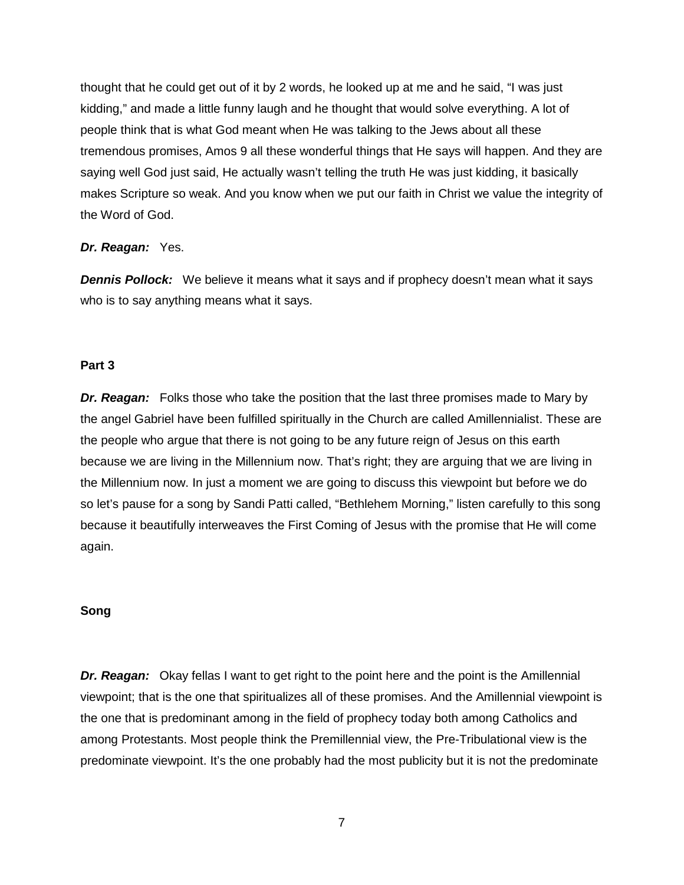thought that he could get out of it by 2 words, he looked up at me and he said, "I was just kidding," and made a little funny laugh and he thought that would solve everything. A lot of people think that is what God meant when He was talking to the Jews about all these tremendous promises, Amos 9 all these wonderful things that He says will happen. And they are saying well God just said, He actually wasn't telling the truth He was just kidding, it basically makes Scripture so weak. And you know when we put our faith in Christ we value the integrity of the Word of God.

#### *Dr. Reagan:* Yes.

*Dennis Pollock:* We believe it means what it says and if prophecy doesn't mean what it says who is to say anything means what it says.

#### **Part 3**

*Dr. Reagan:* Folks those who take the position that the last three promises made to Mary by the angel Gabriel have been fulfilled spiritually in the Church are called Amillennialist. These are the people who argue that there is not going to be any future reign of Jesus on this earth because we are living in the Millennium now. That's right; they are arguing that we are living in the Millennium now. In just a moment we are going to discuss this viewpoint but before we do so let's pause for a song by Sandi Patti called, "Bethlehem Morning," listen carefully to this song because it beautifully interweaves the First Coming of Jesus with the promise that He will come again.

#### **Song**

*Dr. Reagan:* Okay fellas I want to get right to the point here and the point is the Amillennial viewpoint; that is the one that spiritualizes all of these promises. And the Amillennial viewpoint is the one that is predominant among in the field of prophecy today both among Catholics and among Protestants. Most people think the Premillennial view, the Pre-Tribulational view is the predominate viewpoint. It's the one probably had the most publicity but it is not the predominate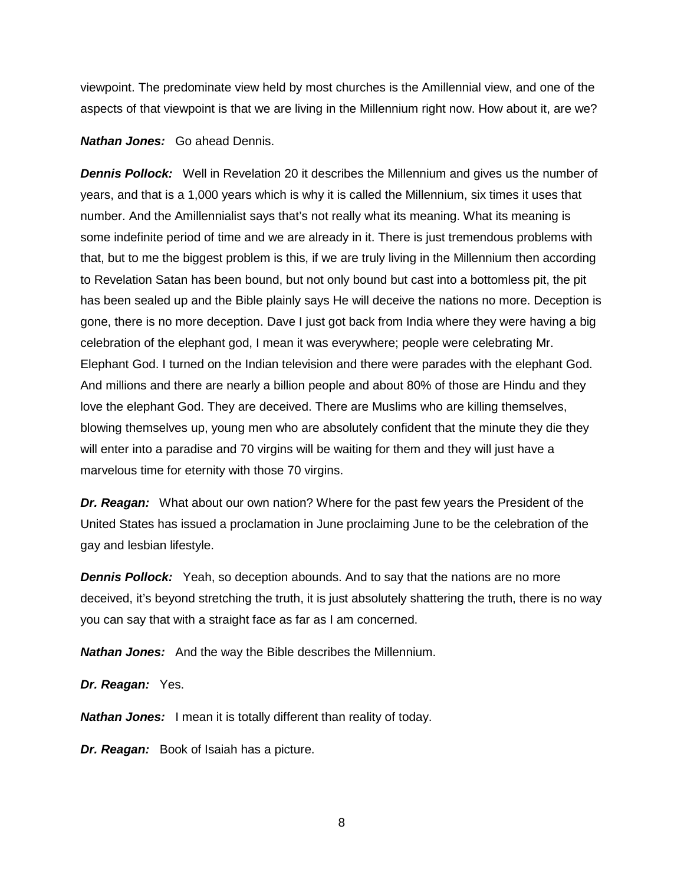viewpoint. The predominate view held by most churches is the Amillennial view, and one of the aspects of that viewpoint is that we are living in the Millennium right now. How about it, are we?

#### *Nathan Jones:* Go ahead Dennis.

*Dennis Pollock:* Well in Revelation 20 it describes the Millennium and gives us the number of years, and that is a 1,000 years which is why it is called the Millennium, six times it uses that number. And the Amillennialist says that's not really what its meaning. What its meaning is some indefinite period of time and we are already in it. There is just tremendous problems with that, but to me the biggest problem is this, if we are truly living in the Millennium then according to Revelation Satan has been bound, but not only bound but cast into a bottomless pit, the pit has been sealed up and the Bible plainly says He will deceive the nations no more. Deception is gone, there is no more deception. Dave I just got back from India where they were having a big celebration of the elephant god, I mean it was everywhere; people were celebrating Mr. Elephant God. I turned on the Indian television and there were parades with the elephant God. And millions and there are nearly a billion people and about 80% of those are Hindu and they love the elephant God. They are deceived. There are Muslims who are killing themselves, blowing themselves up, young men who are absolutely confident that the minute they die they will enter into a paradise and 70 virgins will be waiting for them and they will just have a marvelous time for eternity with those 70 virgins.

*Dr. Reagan:* What about our own nation? Where for the past few years the President of the United States has issued a proclamation in June proclaiming June to be the celebration of the gay and lesbian lifestyle.

*Dennis Pollock:* Yeah, so deception abounds. And to say that the nations are no more deceived, it's beyond stretching the truth, it is just absolutely shattering the truth, there is no way you can say that with a straight face as far as I am concerned.

*Nathan Jones:* And the way the Bible describes the Millennium.

*Dr. Reagan:* Yes.

*Nathan Jones:* I mean it is totally different than reality of today.

*Dr. Reagan:* Book of Isaiah has a picture.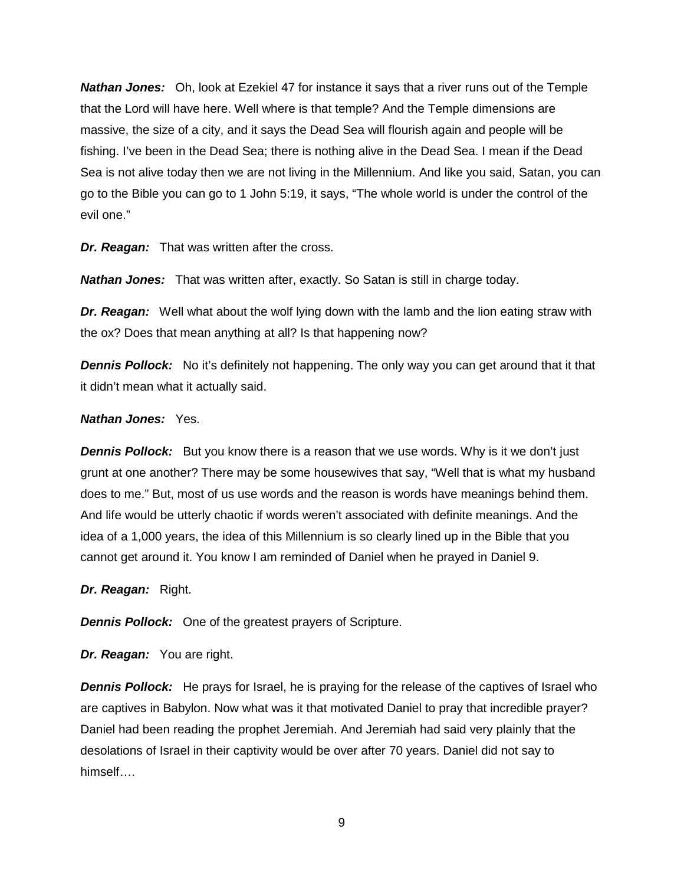*Nathan Jones:* Oh, look at Ezekiel 47 for instance it says that a river runs out of the Temple that the Lord will have here. Well where is that temple? And the Temple dimensions are massive, the size of a city, and it says the Dead Sea will flourish again and people will be fishing. I've been in the Dead Sea; there is nothing alive in the Dead Sea. I mean if the Dead Sea is not alive today then we are not living in the Millennium. And like you said, Satan, you can go to the Bible you can go to 1 John 5:19, it says, "The whole world is under the control of the evil one."

*Dr. Reagan:* That was written after the cross.

*Nathan Jones:* That was written after, exactly. So Satan is still in charge today.

*Dr. Reagan:* Well what about the wolf lying down with the lamb and the lion eating straw with the ox? Does that mean anything at all? Is that happening now?

**Dennis Pollock:** No it's definitely not happening. The only way you can get around that it that it didn't mean what it actually said.

#### *Nathan Jones:* Yes.

*Dennis Pollock:* But you know there is a reason that we use words. Why is it we don't just grunt at one another? There may be some housewives that say, "Well that is what my husband does to me." But, most of us use words and the reason is words have meanings behind them. And life would be utterly chaotic if words weren't associated with definite meanings. And the idea of a 1,000 years, the idea of this Millennium is so clearly lined up in the Bible that you cannot get around it. You know I am reminded of Daniel when he prayed in Daniel 9.

*Dr. Reagan:* Right.

*Dennis Pollock:* One of the greatest prayers of Scripture.

*Dr. Reagan:* You are right.

*Dennis Pollock:* He prays for Israel, he is praying for the release of the captives of Israel who are captives in Babylon. Now what was it that motivated Daniel to pray that incredible prayer? Daniel had been reading the prophet Jeremiah. And Jeremiah had said very plainly that the desolations of Israel in their captivity would be over after 70 years. Daniel did not say to himself….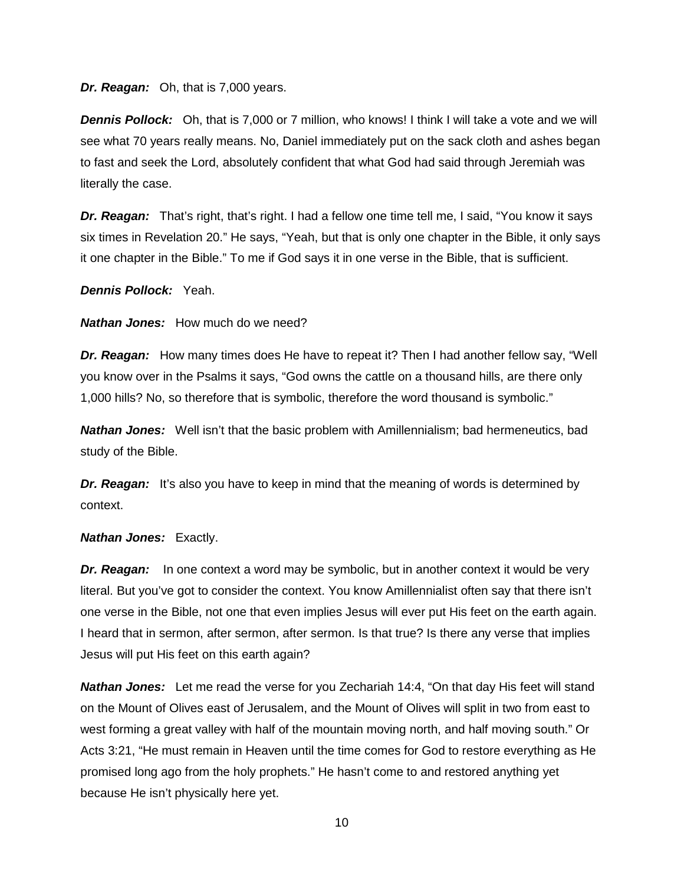*Dr. Reagan:* Oh, that is 7,000 years.

*Dennis Pollock:* Oh, that is 7,000 or 7 million, who knows! I think I will take a vote and we will see what 70 years really means. No, Daniel immediately put on the sack cloth and ashes began to fast and seek the Lord, absolutely confident that what God had said through Jeremiah was literally the case.

*Dr. Reagan:* That's right, that's right. I had a fellow one time tell me, I said, "You know it says six times in Revelation 20." He says, "Yeah, but that is only one chapter in the Bible, it only says it one chapter in the Bible." To me if God says it in one verse in the Bible, that is sufficient.

*Dennis Pollock:* Yeah.

*Nathan Jones:* How much do we need?

*Dr. Reagan:* How many times does He have to repeat it? Then I had another fellow say, "Well you know over in the Psalms it says, "God owns the cattle on a thousand hills, are there only 1,000 hills? No, so therefore that is symbolic, therefore the word thousand is symbolic."

*Nathan Jones:* Well isn't that the basic problem with Amillennialism; bad hermeneutics, bad study of the Bible.

**Dr. Reagan:** It's also you have to keep in mind that the meaning of words is determined by context.

*Nathan Jones:* Exactly.

*Dr. Reagan:* In one context a word may be symbolic, but in another context it would be very literal. But you've got to consider the context. You know Amillennialist often say that there isn't one verse in the Bible, not one that even implies Jesus will ever put His feet on the earth again. I heard that in sermon, after sermon, after sermon. Is that true? Is there any verse that implies Jesus will put His feet on this earth again?

*Nathan Jones:* Let me read the verse for you Zechariah 14:4, "On that day His feet will stand on the Mount of Olives east of Jerusalem, and the Mount of Olives will split in two from east to west forming a great valley with half of the mountain moving north, and half moving south." Or Acts 3:21, "He must remain in Heaven until the time comes for God to restore everything as He promised long ago from the holy prophets." He hasn't come to and restored anything yet because He isn't physically here yet.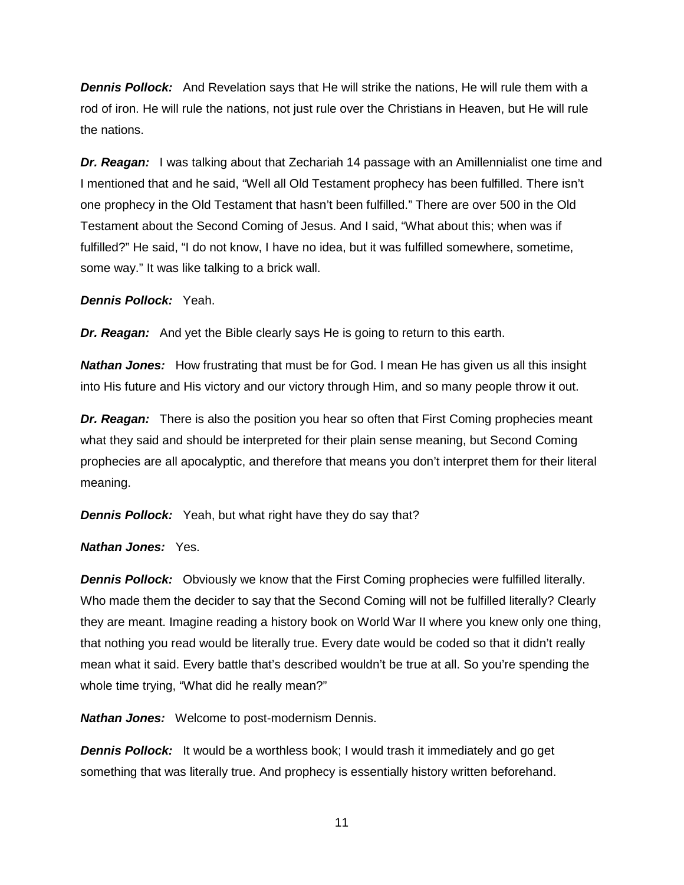*Dennis Pollock:* And Revelation says that He will strike the nations, He will rule them with a rod of iron. He will rule the nations, not just rule over the Christians in Heaven, but He will rule the nations.

*Dr. Reagan:* I was talking about that Zechariah 14 passage with an Amillennialist one time and I mentioned that and he said, "Well all Old Testament prophecy has been fulfilled. There isn't one prophecy in the Old Testament that hasn't been fulfilled." There are over 500 in the Old Testament about the Second Coming of Jesus. And I said, "What about this; when was if fulfilled?" He said, "I do not know, I have no idea, but it was fulfilled somewhere, sometime, some way." It was like talking to a brick wall.

*Dennis Pollock:* Yeah.

*Dr. Reagan:* And yet the Bible clearly says He is going to return to this earth.

*Nathan Jones:* How frustrating that must be for God. I mean He has given us all this insight into His future and His victory and our victory through Him, and so many people throw it out.

*Dr. Reagan:* There is also the position you hear so often that First Coming prophecies meant what they said and should be interpreted for their plain sense meaning, but Second Coming prophecies are all apocalyptic, and therefore that means you don't interpret them for their literal meaning.

**Dennis Pollock:** Yeah, but what right have they do say that?

#### *Nathan Jones:* Yes.

*Dennis Pollock:* Obviously we know that the First Coming prophecies were fulfilled literally. Who made them the decider to say that the Second Coming will not be fulfilled literally? Clearly they are meant. Imagine reading a history book on World War II where you knew only one thing, that nothing you read would be literally true. Every date would be coded so that it didn't really mean what it said. Every battle that's described wouldn't be true at all. So you're spending the whole time trying, "What did he really mean?"

*Nathan Jones:* Welcome to post-modernism Dennis.

**Dennis Pollock:** It would be a worthless book; I would trash it immediately and go get something that was literally true. And prophecy is essentially history written beforehand.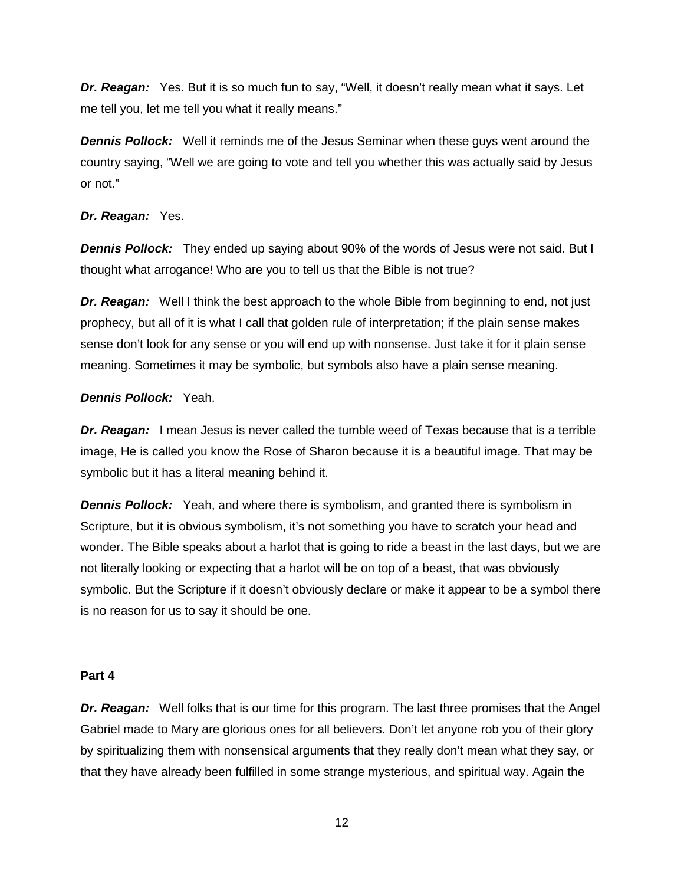*Dr. Reagan:* Yes. But it is so much fun to say, "Well, it doesn't really mean what it says. Let me tell you, let me tell you what it really means."

**Dennis Pollock:** Well it reminds me of the Jesus Seminar when these guys went around the country saying, "Well we are going to vote and tell you whether this was actually said by Jesus or not."

#### *Dr. Reagan:* Yes.

*Dennis Pollock:* They ended up saying about 90% of the words of Jesus were not said. But I thought what arrogance! Who are you to tell us that the Bible is not true?

*Dr. Reagan:* Well I think the best approach to the whole Bible from beginning to end, not just prophecy, but all of it is what I call that golden rule of interpretation; if the plain sense makes sense don't look for any sense or you will end up with nonsense. Just take it for it plain sense meaning. Sometimes it may be symbolic, but symbols also have a plain sense meaning.

#### *Dennis Pollock:* Yeah.

**Dr. Reagan:** I mean Jesus is never called the tumble weed of Texas because that is a terrible image, He is called you know the Rose of Sharon because it is a beautiful image. That may be symbolic but it has a literal meaning behind it.

*Dennis Pollock:* Yeah, and where there is symbolism, and granted there is symbolism in Scripture, but it is obvious symbolism, it's not something you have to scratch your head and wonder. The Bible speaks about a harlot that is going to ride a beast in the last days, but we are not literally looking or expecting that a harlot will be on top of a beast, that was obviously symbolic. But the Scripture if it doesn't obviously declare or make it appear to be a symbol there is no reason for us to say it should be one.

#### **Part 4**

*Dr. Reagan:* Well folks that is our time for this program. The last three promises that the Angel Gabriel made to Mary are glorious ones for all believers. Don't let anyone rob you of their glory by spiritualizing them with nonsensical arguments that they really don't mean what they say, or that they have already been fulfilled in some strange mysterious, and spiritual way. Again the